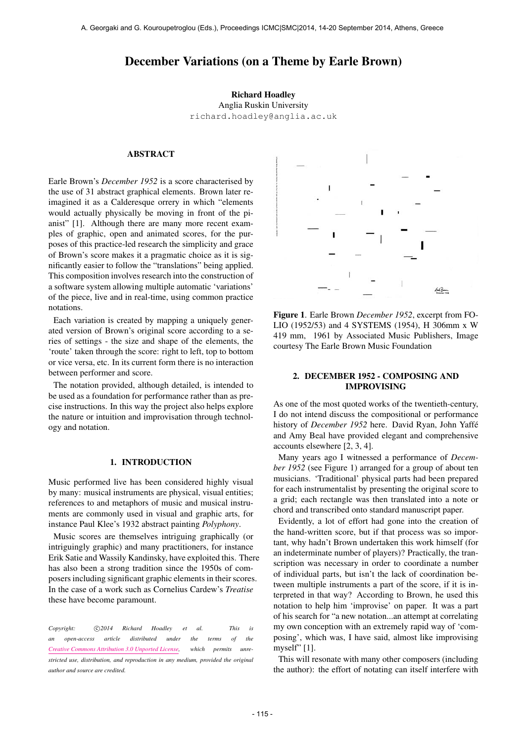# December Variations (on a Theme by Earle Brown)

#### Richard Hoadley

Anglia Ruskin University [richard.hoadley@anglia.ac.uk](mailto:richard.hoadley@anglia.ac.uk)

## ABSTRACT

Earle Brown's *December 1952* is a score characterised by the use of 31 abstract graphical elements. Brown later reimagined it as a Calderesque orrery in which "elements would actually physically be moving in front of the pianist" [1]. Although there are many more recent examples of graphic, open and animated scores, for the purposes of this practice-led research the simplicity and grace of Brown's score makes it a pragmatic choice as it is significantly easier to follow the "translations" being applied. This composition involves research into the construction of a software system allowing multiple automatic 'variations' of the piece, live and in real-time, using common practice notations.

Each variation is created by mapping a uniquely generated version of Brown's original score according to a series of settings - the size and shape of the elements, the 'route' taken through the score: right to left, top to bottom or vice versa, etc. In its current form there is no interaction between performer and score.

The notation provided, although detailed, is intended to be used as a foundation for performance rather than as precise instructions. In this way the project also helps explore the nature or intuition and improvisation through technology and notation.

### 1. INTRODUCTION

Music performed live has been considered highly visual by many: musical instruments are physical, visual entities; references to and metaphors of music and musical instruments are commonly used in visual and graphic arts, for instance Paul Klee's 1932 abstract painting *Polyphony*.

Music scores are themselves intriguing graphically (or intriguingly graphic) and many practitioners, for instance Erik Satie and Wassily Kandinsky, have exploited this. There has also been a strong tradition since the 1950s of composers including significant graphic elements in their scores. In the case of a work such as Cornelius Cardew's *Treatise* these have become paramount.

Copyright:  $\bigcirc$  2014 Richard Hoadley et al. This is *an open-access article distributed under the terms of the [Creative Commons Attribution 3.0 Unported License,](http://creativecommons.org/licenses/by/3.0/) which permits unrestricted use, distribution, and reproduction in any medium, provided the original author and source are credited.*



Figure 1. Earle Brown *December 1952*, excerpt from FO-LIO (1952/53) and 4 SYSTEMS (1954), H 306mm x W 419 mm, 1961 by Associated Music Publishers, Image courtesy The Earle Brown Music Foundation

## 2. DECEMBER 1952 - COMPOSING AND IMPROVISING

As one of the most quoted works of the twentieth-century, I do not intend discuss the compositional or performance history of *December 1952* here. David Ryan, John Yaffe´ and Amy Beal have provided elegant and comprehensive accounts elsewhere [2, 3, 4].

Many years ago I witnessed a performance of *December 1952* (see Figure 1) arranged for a group of about ten musicians. 'Traditional' physical parts had been prepared for each instrumentalist by presenting the original score to a grid; each rectangle was then translated into a note or chord and transcribed onto standard manuscript paper.

Evidently, a lot of effort had gone into the creation of the hand-written score, but if that process was so important, why hadn't Brown undertaken this work himself (for an indeterminate number of players)? Practically, the transcription was necessary in order to coordinate a number of individual parts, but isn't the lack of coordination between multiple instruments a part of the score, if it is interpreted in that way? According to Brown, he used this notation to help him 'improvise' on paper. It was a part of his search for "a new notation...an attempt at correlating my own conception with an extremely rapid way of 'composing', which was, I have said, almost like improvising myself" [1].

This will resonate with many other composers (including the author): the effort of notating can itself interfere with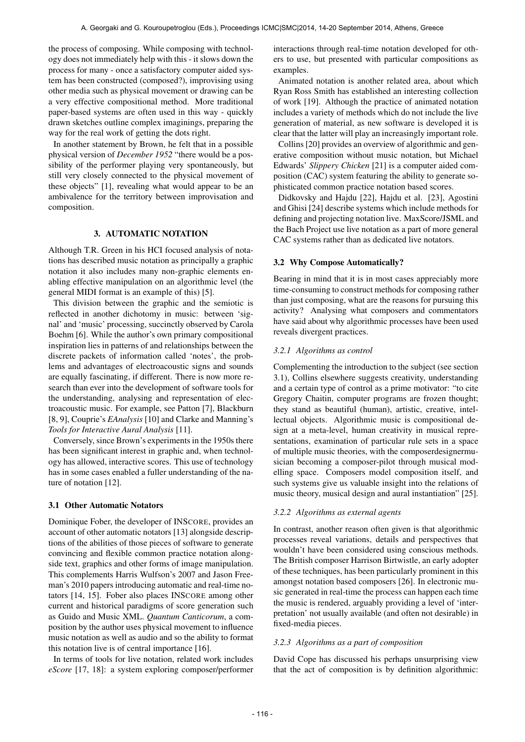the process of composing. While composing with technology does not immediately help with this - it slows down the process for many - once a satisfactory computer aided system has been constructed (composed?), improvising using other media such as physical movement or drawing can be a very effective compositional method. More traditional paper-based systems are often used in this way - quickly drawn sketches outline complex imaginings, preparing the way for the real work of getting the dots right.

In another statement by Brown, he felt that in a possible physical version of *December 1952* "there would be a possibility of the performer playing very spontaneously, but still very closely connected to the physical movement of these objects" [1], revealing what would appear to be an ambivalence for the territory between improvisation and composition.

## 3. AUTOMATIC NOTATION

Although T.R. Green in his HCI focused analysis of notations has described music notation as principally a graphic notation it also includes many non-graphic elements enabling effective manipulation on an algorithmic level (the general MIDI format is an example of this) [5].

This division between the graphic and the semiotic is reflected in another dichotomy in music: between 'signal' and 'music' processing, succinctly observed by Carola Boehm [6]. While the author's own primary compositional inspiration lies in patterns of and relationships between the discrete packets of information called 'notes', the problems and advantages of electroacoustic signs and sounds are equally fascinating, if different. There is now more research than ever into the development of software tools for the understanding, analysing and representation of electroacoustic music. For example, see Patton [7], Blackburn [8, 9], Couprie's *EAnalysis* [10] and Clarke and Manning's *Tools for Interactive Aural Analysis* [11].

Conversely, since Brown's experiments in the 1950s there has been significant interest in graphic and, when technology has allowed, interactive scores. This use of technology has in some cases enabled a fuller understanding of the nature of notation [12].

## 3.1 Other Automatic Notators

Dominique Fober, the developer of INSCORE, provides an account of other automatic notators [13] alongside descriptions of the abilities of those pieces of software to generate convincing and flexible common practice notation alongside text, graphics and other forms of image manipulation. This complements Harris Wulfson's 2007 and Jason Freeman's 2010 papers introducing automatic and real-time notators [14, 15]. Fober also places INSCORE among other current and historical paradigms of score generation such as Guido and Music XML. *Quantum Canticorum*, a composition by the author uses physical movement to influence music notation as well as audio and so the ability to format this notation live is of central importance [16].

In terms of tools for live notation, related work includes *eScore* [17, 18]: a system exploring composer/performer interactions through real-time notation developed for others to use, but presented with particular compositions as examples.

Animated notation is another related area, about which Ryan Ross Smith has established an interesting collection of work [19]. Although the practice of animated notation includes a variety of methods which do not include the live generation of material, as new software is developed it is clear that the latter will play an increasingly important role.

Collins [20] provides an overview of algorithmic and generative composition without music notation, but Michael Edwards' *Slippery Chicken* [21] is a computer aided composition (CAC) system featuring the ability to generate sophisticated common practice notation based scores.

Didkovsky and Hajdu [22], Hajdu et al. [23], Agostini and Ghisi [24] describe systems which include methods for defining and projecting notation live. MaxScore/JSML and the Bach Project use live notation as a part of more general CAC systems rather than as dedicated live notators.

#### 3.2 Why Compose Automatically?

Bearing in mind that it is in most cases appreciably more time-consuming to construct methods for composing rather than just composing, what are the reasons for pursuing this activity? Analysing what composers and commentators have said about why algorithmic processes have been used reveals divergent practices.

## *3.2.1 Algorithms as control*

Complementing the introduction to the subject (see section 3.1), Collins elsewhere suggests creativity, understanding and a certain type of control as a prime motivator: "to cite Gregory Chaitin, computer programs are frozen thought; they stand as beautiful (human), artistic, creative, intellectual objects. Algorithmic music is compositional design at a meta-level, human creativity in musical representations, examination of particular rule sets in a space of multiple music theories, with the composerdesignermusician becoming a composer-pilot through musical modelling space. Composers model composition itself, and such systems give us valuable insight into the relations of music theory, musical design and aural instantiation" [25].

#### *3.2.2 Algorithms as external agents*

In contrast, another reason often given is that algorithmic processes reveal variations, details and perspectives that wouldn't have been considered using conscious methods. The British composer Harrison Birtwistle, an early adopter of these techniques, has been particularly prominent in this amongst notation based composers [26]. In electronic music generated in real-time the process can happen each time the music is rendered, arguably providing a level of 'interpretation' not usually available (and often not desirable) in fixed-media pieces.

## *3.2.3 Algorithms as a part of composition*

David Cope has discussed his perhaps unsurprising view that the act of composition is by definition algorithmic: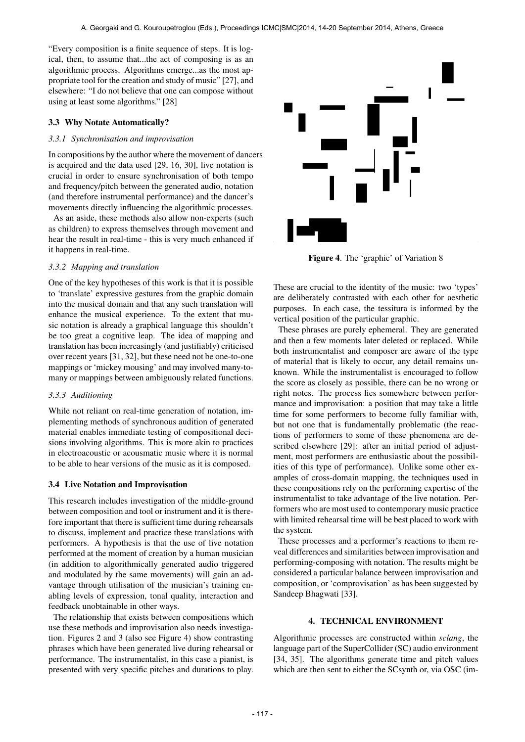"Every composition is a finite sequence of steps. It is logical, then, to assume that...the act of composing is as an algorithmic process. Algorithms emerge...as the most appropriate tool for the creation and study of music" [27], and elsewhere: "I do not believe that one can compose without using at least some algorithms." [28]

## 3.3 Why Notate Automatically?

## *3.3.1 Synchronisation and improvisation*

In compositions by the author where the movement of dancers is acquired and the data used [29, 16, 30], live notation is crucial in order to ensure synchronisation of both tempo and frequency/pitch between the generated audio, notation (and therefore instrumental performance) and the dancer's movements directly influencing the algorithmic processes.

As an aside, these methods also allow non-experts (such as children) to express themselves through movement and hear the result in real-time - this is very much enhanced if it happens in real-time.

## *3.3.2 Mapping and translation*

One of the key hypotheses of this work is that it is possible to 'translate' expressive gestures from the graphic domain into the musical domain and that any such translation will enhance the musical experience. To the extent that music notation is already a graphical language this shouldn't be too great a cognitive leap. The idea of mapping and translation has been increasingly (and justifiably) criticised over recent years [31, 32], but these need not be one-to-one mappings or 'mickey mousing' and may involved many-tomany or mappings between ambiguously related functions.

#### *3.3.3 Auditioning*

While not reliant on real-time generation of notation, implementing methods of synchronous audition of generated material enables immediate testing of compositional decisions involving algorithms. This is more akin to practices in electroacoustic or acousmatic music where it is normal to be able to hear versions of the music as it is composed.

## 3.4 Live Notation and Improvisation

This research includes investigation of the middle-ground between composition and tool or instrument and it is therefore important that there is sufficient time during rehearsals to discuss, implement and practice these translations with performers. A hypothesis is that the use of live notation performed at the moment of creation by a human musician (in addition to algorithmically generated audio triggered and modulated by the same movements) will gain an advantage through utilisation of the musician's training enabling levels of expression, tonal quality, interaction and feedback unobtainable in other ways.

The relationship that exists between compositions which use these methods and improvisation also needs investigation. Figures 2 and 3 (also see Figure 4) show contrasting phrases which have been generated live during rehearsal or performance. The instrumentalist, in this case a pianist, is presented with very specific pitches and durations to play.



Figure 4. The 'graphic' of Variation 8

These are crucial to the identity of the music: two 'types' are deliberately contrasted with each other for aesthetic purposes. In each case, the tessitura is informed by the vertical position of the particular graphic.

These phrases are purely ephemeral. They are generated and then a few moments later deleted or replaced. While both instrumentalist and composer are aware of the type of material that is likely to occur, any detail remains unknown. While the instrumentalist is encouraged to follow the score as closely as possible, there can be no wrong or right notes. The process lies somewhere between performance and improvisation: a position that may take a little time for some performers to become fully familiar with, but not one that is fundamentally problematic (the reactions of performers to some of these phenomena are described elsewhere [29]: after an initial period of adjustment, most performers are enthusiastic about the possibilities of this type of performance). Unlike some other examples of cross-domain mapping, the techniques used in these compositions rely on the performing expertise of the instrumentalist to take advantage of the live notation. Performers who are most used to contemporary music practice with limited rehearsal time will be best placed to work with the system.

These processes and a performer's reactions to them reveal differences and similarities between improvisation and performing-composing with notation. The results might be considered a particular balance between improvisation and composition, or 'comprovisation' as has been suggested by Sandeep Bhagwati [33].

## 4. TECHNICAL ENVIRONMENT

Algorithmic processes are constructed within *sclang*, the language part of the SuperCollider (SC) audio environment [34, 35]. The algorithms generate time and pitch values which are then sent to either the SCsynth or, via OSC (im-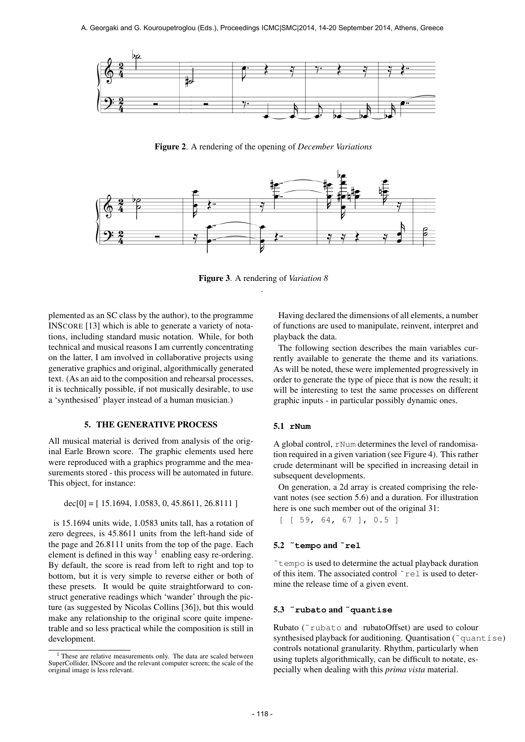

Figure 2. A rendering of the opening of *December Variations*



Figure 3. A rendering of *Variation 8* .

plemented as an SC class by the author), to the programme INSCORE [13] which is able to generate a variety of notations, including standard music notation. While, for both technical and musical reasons I am currently concentrating on the latter, I am involved in collaborative projects using generative graphics and original, algorithmically generated text. (As an aid to the composition and rehearsal processes, it is technically possible, if not musically desirable, to use a 'synthesised' player instead of a human musician.)

#### 5. THE GENERATIVE PROCESS

All musical material is derived from analysis of the original Earle Brown score. The graphic elements used here were reproduced with a graphics programme and the measurements stored - this process will be automated in future. This object, for instance:

 $dec[0] = [15.1694, 1.0583, 0, 45.8611, 26.8111]$ 

is 15.1694 units wide, 1.0583 units tall, has a rotation of zero degrees, is 45.8611 units from the left-hand side of the page and 26.8111 units from the top of the page. Each element is defined in this way  $1$  enabling easy re-ordering. By default, the score is read from left to right and top to bottom, but it is very simple to reverse either or both of these presets. It would be quite straightforward to construct generative readings which 'wander' through the picture (as suggested by Nicolas Collins [36]), but this would make any relationship to the original score quite impenetrable and so less practical while the composition is still in development.

Having declared the dimensions of all elements, a number of functions are used to manipulate, reinvent, interpret and playback the data.

The following section describes the main variables currently available to generate the theme and its variations. As will be noted, these were implemented progressively in order to generate the type of piece that is now the result; it will be interesting to test the same processes on different graphic inputs - in particular possibly dynamic ones.

#### 5.1 **rNum**

A global control, rNum determines the level of randomisation required in a given variation (see Figure 4). This rather crude determinant will be specified in increasing detail in subsequent developments.

On generation, a 2d array is created comprising the relevant notes (see section 5.6) and a duration. For illustration here is one such member out of the original 31:

[ [ 59, 64, 67 ], 0.5 ]

## 5.2 **˜tempo** and **˜rel**

˜tempo is used to determine the actual playback duration of this item. The associated control ˜rel is used to determine the release time of a given event.

#### 5.3 **˜rubato** and **˜quantise**

Rubato (˜rubato and rubatoOffset) are used to colour synthesised playback for auditioning. Quantisation (~quantise) controls notational granularity. Rhythm, particularly when using tuplets algorithmically, can be difficult to notate, especially when dealing with this *prima vista* material.

<sup>&</sup>lt;sup>1</sup> These are relative measurements only. The data are scaled between SuperCollider, INScore and the relevant computer screen; the scale of the original image is less relevant.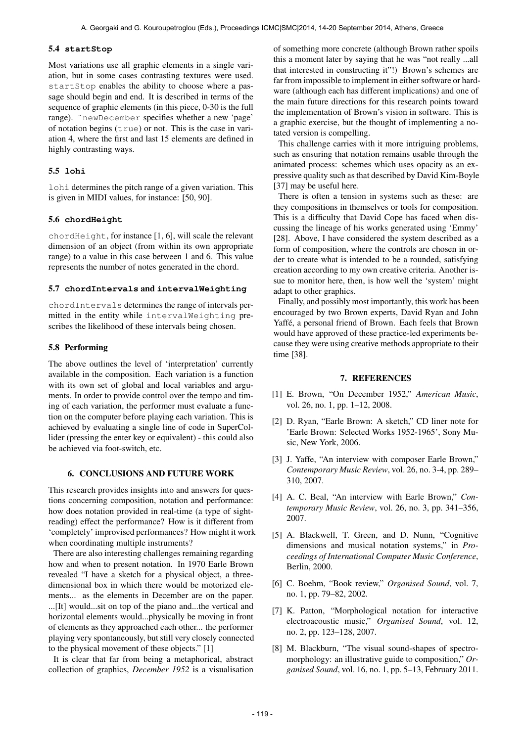#### 5.4 **startStop**

Most variations use all graphic elements in a single variation, but in some cases contrasting textures were used. startStop enables the ability to choose where a passage should begin and end. It is described in terms of the sequence of graphic elements (in this piece, 0-30 is the full range). ˜newDecember specifies whether a new 'page' of notation begins  $(\text{true})$  or not. This is the case in variation 4, where the first and last 15 elements are defined in highly contrasting ways.

## 5.5 **lohi**

lohi determines the pitch range of a given variation. This is given in MIDI values, for instance: [50, 90].

## 5.6 **chordHeight**

chordHeight, for instance [1, 6], will scale the relevant dimension of an object (from within its own appropriate range) to a value in this case between 1 and 6. This value represents the number of notes generated in the chord.

#### 5.7 **chordIntervals** and **intervalWeighting**

chordIntervals determines the range of intervals permitted in the entity while intervalWeighting prescribes the likelihood of these intervals being chosen.

#### 5.8 Performing

The above outlines the level of 'interpretation' currently available in the composition. Each variation is a function with its own set of global and local variables and arguments. In order to provide control over the tempo and timing of each variation, the performer must evaluate a function on the computer before playing each variation. This is achieved by evaluating a single line of code in SuperCollider (pressing the enter key or equivalent) - this could also be achieved via foot-switch, etc.

## 6. CONCLUSIONS AND FUTURE WORK

This research provides insights into and answers for questions concerning composition, notation and performance: how does notation provided in real-time (a type of sightreading) effect the performance? How is it different from 'completely' improvised performances? How might it work when coordinating multiple instruments?

There are also interesting challenges remaining regarding how and when to present notation. In 1970 Earle Brown revealed "I have a sketch for a physical object, a threedimensional box in which there would be motorized elements... as the elements in December are on the paper. ...[It] would...sit on top of the piano and...the vertical and horizontal elements would...physically be moving in front of elements as they approached each other... the performer playing very spontaneously, but still very closely connected to the physical movement of these objects." [1]

It is clear that far from being a metaphorical, abstract collection of graphics, *December 1952* is a visualisation of something more concrete (although Brown rather spoils this a moment later by saying that he was "not really ...all that interested in constructing it"!) Brown's schemes are far from impossible to implement in either software or hardware (although each has different implications) and one of the main future directions for this research points toward the implementation of Brown's vision in software. This is a graphic exercise, but the thought of implementing a notated version is compelling.

This challenge carries with it more intriguing problems, such as ensuring that notation remains usable through the animated process: schemes which uses opacity as an expressive quality such as that described by David Kim-Boyle [37] may be useful here.

There is often a tension in systems such as these: are they compositions in themselves or tools for composition. This is a difficulty that David Cope has faced when discussing the lineage of his works generated using 'Emmy' [28]. Above, I have considered the system described as a form of composition, where the controls are chosen in order to create what is intended to be a rounded, satisfying creation according to my own creative criteria. Another issue to monitor here, then, is how well the 'system' might adapt to other graphics.

Finally, and possibly most importantly, this work has been encouraged by two Brown experts, David Ryan and John Yaffé, a personal friend of Brown. Each feels that Brown would have approved of these practice-led experiments because they were using creative methods appropriate to their time [38].

#### 7. REFERENCES

- [1] E. Brown, "On December 1952," *American Music*, vol. 26, no. 1, pp. 1–12, 2008.
- [2] D. Ryan, "Earle Brown: A sketch," CD liner note for 'Earle Brown: Selected Works 1952-1965', Sony Music, New York, 2006.
- [3] J. Yaffe, "An interview with composer Earle Brown," *Contemporary Music Review*, vol. 26, no. 3-4, pp. 289– 310, 2007.
- [4] A. C. Beal, "An interview with Earle Brown," *Contemporary Music Review*, vol. 26, no. 3, pp. 341–356, 2007.
- [5] A. Blackwell, T. Green, and D. Nunn, "Cognitive dimensions and musical notation systems," in *Proceedings of International Computer Music Conference*, Berlin, 2000.
- [6] C. Boehm, "Book review," *Organised Sound*, vol. 7, no. 1, pp. 79–82, 2002.
- [7] K. Patton, "Morphological notation for interactive electroacoustic music," *Organised Sound*, vol. 12, no. 2, pp. 123–128, 2007.
- [8] M. Blackburn, "The visual sound-shapes of spectromorphology: an illustrative guide to composition," *Organised Sound*, vol. 16, no. 1, pp. 5–13, February 2011.